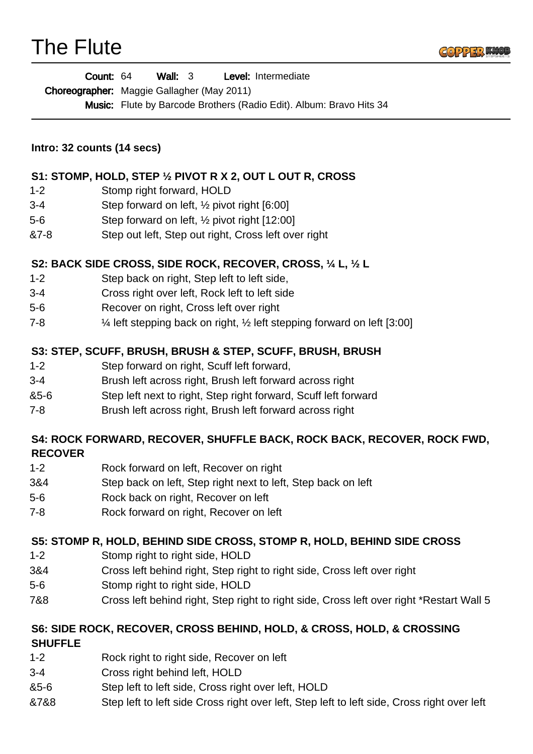



| Count: 64 | Wall: $3$ | <b>Level:</b> Intermediate |
|-----------|-----------|----------------------------|
|-----------|-----------|----------------------------|

Choreographer: Maggie Gallagher (May 2011)

Music: Flute by Barcode Brothers (Radio Edit). Album: Bravo Hits 34

**Intro: 32 counts (14 secs)** 

#### **S1: STOMP, HOLD, STEP ½ PIVOT R X 2, OUT L OUT R, CROSS**

- 1-2 Stomp right forward, HOLD
- 3-4 Step forward on left, ½ pivot right [6:00]
- 5-6 Step forward on left, ½ pivot right [12:00]
- &7-8 Step out left, Step out right, Cross left over right

#### **S2: BACK SIDE CROSS, SIDE ROCK, RECOVER, CROSS, ¼ L, ½ L**

- 1-2 Step back on right, Step left to left side,
- 3-4 Cross right over left, Rock left to left side
- 5-6 Recover on right, Cross left over right
- 7-8 ¼ left stepping back on right, ½ left stepping forward on left [3:00]

#### **S3: STEP, SCUFF, BRUSH, BRUSH & STEP, SCUFF, BRUSH, BRUSH**

- 1-2 Step forward on right, Scuff left forward,
- 3-4 Brush left across right, Brush left forward across right
- &5-6 Step left next to right, Step right forward, Scuff left forward
- 7-8 Brush left across right, Brush left forward across right

#### **S4: ROCK FORWARD, RECOVER, SHUFFLE BACK, ROCK BACK, RECOVER, ROCK FWD, RECOVER**

- 1-2 Rock forward on left, Recover on right
- 3&4 Step back on left, Step right next to left, Step back on left
- 5-6 Rock back on right, Recover on left
- 7-8 Rock forward on right, Recover on left

#### **S5: STOMP R, HOLD, BEHIND SIDE CROSS, STOMP R, HOLD, BEHIND SIDE CROSS**

- 1-2 Stomp right to right side, HOLD
- 3&4 Cross left behind right, Step right to right side, Cross left over right
- 5-6 Stomp right to right side, HOLD
- 7&8 Cross left behind right, Step right to right side, Cross left over right \*Restart Wall 5

# **S6: SIDE ROCK, RECOVER, CROSS BEHIND, HOLD, & CROSS, HOLD, & CROSSING**

#### **SHUFFLE**

- 1-2 Rock right to right side, Recover on left
- 3-4 Cross right behind left, HOLD
- &5-6 Step left to left side, Cross right over left, HOLD
- &7&8 Step left to left side Cross right over left, Step left to left side, Cross right over left